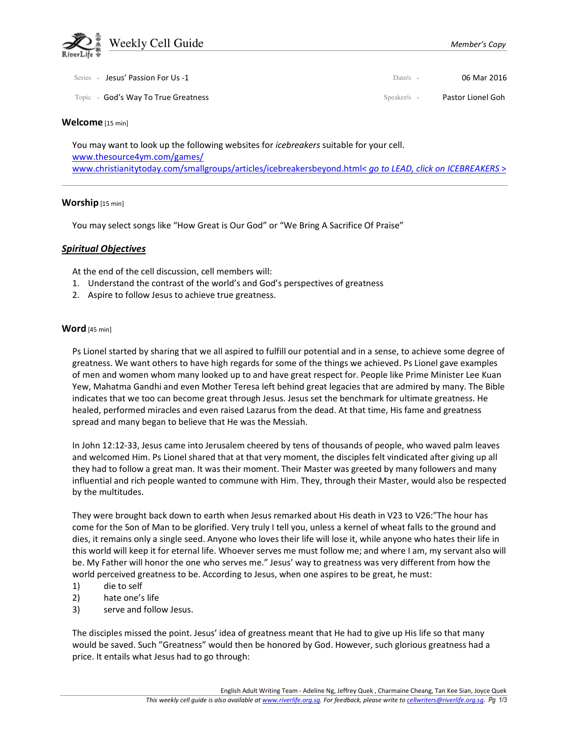

| Series - Jesus' Passion For Us -1   | Date/s $-$    | 06 Mar 2016       |
|-------------------------------------|---------------|-------------------|
| Topic - God's Way To True Greatness | $Speaker/s -$ | Pastor Lionel Goh |

#### Welcome [15 min]

You may want to look up the following websites for *icebreakers* suitable for your cell. www.thesource4ym.com/games/ www.christianitytoday.com/smallgroups/articles/icebreakersbeyond.html< go to LEAD, click on ICEBREAKERS >

#### Worship [15 min]

You may select songs like "How Great is Our God" or "We Bring A Sacrifice Of Praise"

## Spiritual Objectives

At the end of the cell discussion, cell members will:

- 1. Understand the contrast of the world's and God's perspectives of greatness
- 2. Aspire to follow Jesus to achieve true greatness.

## Word [45 min]

Ps Lionel started by sharing that we all aspired to fulfill our potential and in a sense, to achieve some degree of greatness. We want others to have high regards for some of the things we achieved. Ps Lionel gave examples of men and women whom many looked up to and have great respect for. People like Prime Minister Lee Kuan Yew, Mahatma Gandhi and even Mother Teresa left behind great legacies that are admired by many. The Bible indicates that we too can become great through Jesus. Jesus set the benchmark for ultimate greatness. He healed, performed miracles and even raised Lazarus from the dead. At that time, His fame and greatness spread and many began to believe that He was the Messiah.

In John 12:12-33, Jesus came into Jerusalem cheered by tens of thousands of people, who waved palm leaves and welcomed Him. Ps Lionel shared that at that very moment, the disciples felt vindicated after giving up all they had to follow a great man. It was their moment. Their Master was greeted by many followers and many influential and rich people wanted to commune with Him. They, through their Master, would also be respected by the multitudes.

They were brought back down to earth when Jesus remarked about His death in V23 to V26:"The hour has come for the Son of Man to be glorified. Very truly I tell you, unless a kernel of wheat falls to the ground and dies, it remains only a single seed. Anyone who loves their life will lose it, while anyone who hates their life in this world will keep it for eternal life. Whoever serves me must follow me; and where I am, my servant also will be. My Father will honor the one who serves me." Jesus' way to greatness was very different from how the world perceived greatness to be. According to Jesus, when one aspires to be great, he must:

- 1) die to self
- 2) hate one's life
- 3) serve and follow Jesus.

The disciples missed the point. Jesus' idea of greatness meant that He had to give up His life so that many would be saved. Such "Greatness" would then be honored by God. However, such glorious greatness had a price. It entails what Jesus had to go through: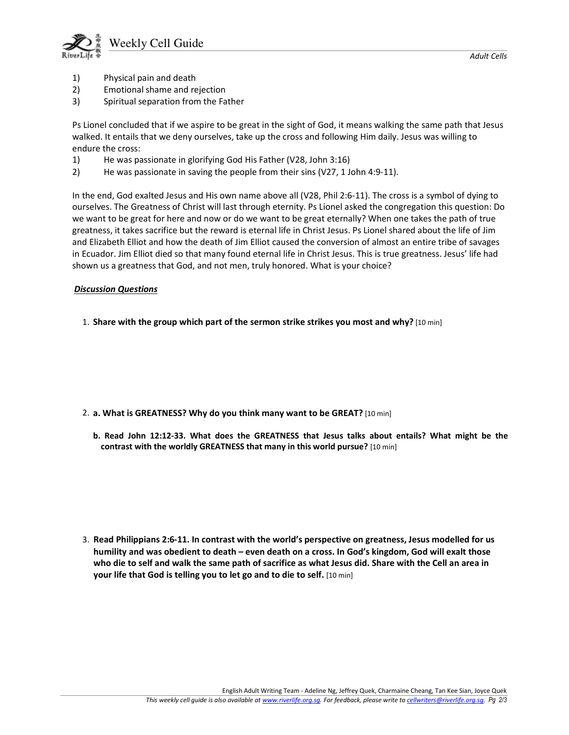

- 1) Physical pain and death
- 2) Emotional shame and rejection
- 3) Spiritual separation from the Father

Ps Lionel concluded that if we aspire to be great in the sight of God, it means walking the same path that Jesus walked. It entails that we deny ourselves, take up the cross and following Him daily. Jesus was willing to endure the cross:

- 1) He was passionate in glorifying God His Father (V28, John 3:16)
- 2) He was passionate in saving the people from their sins (V27, 1 John 4:9-11).

In the end, God exalted Jesus and His own name above all (V28, Phil 2:6-11). The cross is a symbol of dying to ourselves. The Greatness of Christ will last through eternity. Ps Lionel asked the congregation this question: Do we want to be great for here and now or do we want to be great eternally? When one takes the path of true greatness, it takes sacrifice but the reward is eternal life in Christ Jesus. Ps Lionel shared about the life of Jim and Elizabeth Elliot and how the death of Jim Elliot caused the conversion of almost an entire tribe of savages in Ecuador. Jim Elliot died so that many found eternal life in Christ Jesus. This is true greatness. Jesus' life had shown us a greatness that God, and not men, truly honored. What is your choice?

## Discussion Questions

1. Share with the group which part of the sermon strike strikes you most and why? [10 min]

- 2. a. What is GREATNESS? Why do you think many want to be GREAT? [10 min]
	- b. Read John 12:12-33. What does the GREATNESS that Jesus talks about entails? What might be the contrast with the worldly GREATNESS that many in this world pursue? [10 min]

3. Read Philippians 2:6-11. In contrast with the world's perspective on greatness, Jesus modelled for us humility and was obedient to death – even death on a cross. In God's kingdom, God will exalt those who die to self and walk the same path of sacrifice as what Jesus did. Share with the Cell an area in your life that God is telling you to let go and to die to self. [10 min]